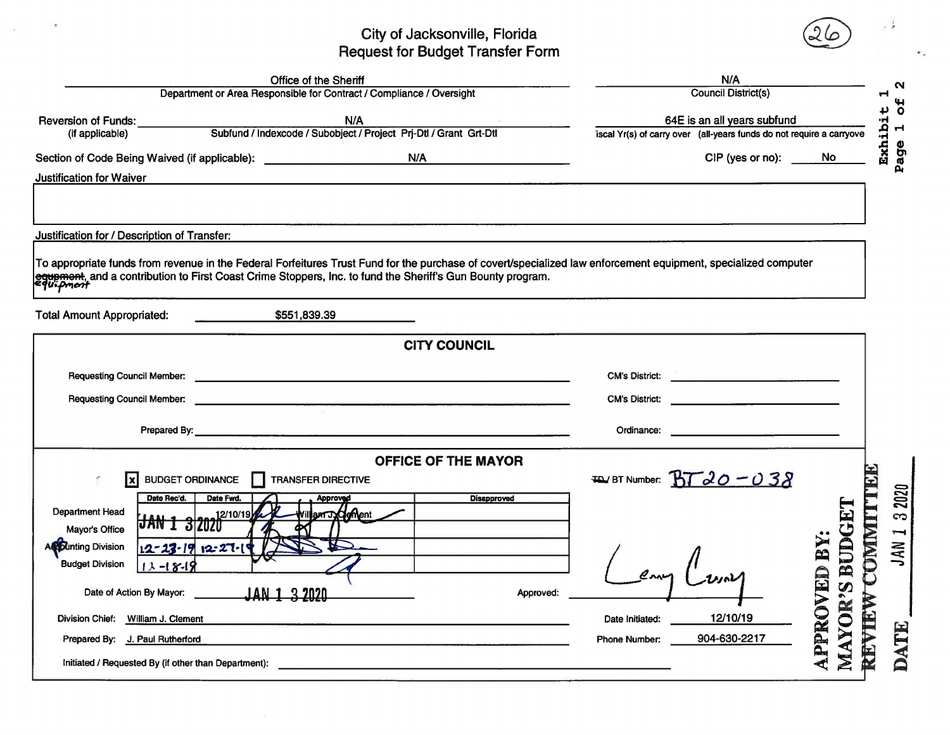## City of Jacksonville, Florida<br>Request for Budget Transfer Form

|                                                                                  | N/A                                                                                                                                                            |                             |                                                                      |                                               |      |  |
|----------------------------------------------------------------------------------|----------------------------------------------------------------------------------------------------------------------------------------------------------------|-----------------------------|----------------------------------------------------------------------|-----------------------------------------------|------|--|
| Department or Area Responsible for Contract / Compliance / Oversight             | <b>Council District(s)</b>                                                                                                                                     |                             |                                                                      |                                               |      |  |
| <b>Reversion of Funds:</b>                                                       | N/A                                                                                                                                                            | 64E is an all years subfund |                                                                      | 5 <sup>o</sup><br>Exhibit<br>$\blacksquare$   |      |  |
| (if applicable)                                                                  | Subfund / Indexcode / Subobject / Project Prj-Dtl / Grant Grt-Dtl                                                                                              |                             | iscal Yr(s) of carry over (all-years funds do not require a carryove |                                               |      |  |
| Section of Code Being Waived (if applicable): __________________________________ | N/A                                                                                                                                                            |                             | CIP (yes or no):                                                     | No                                            | Page |  |
| <b>Justification for Waiver</b>                                                  |                                                                                                                                                                |                             |                                                                      |                                               |      |  |
|                                                                                  |                                                                                                                                                                |                             |                                                                      |                                               |      |  |
|                                                                                  |                                                                                                                                                                |                             |                                                                      |                                               |      |  |
| Justification for / Description of Transfer:                                     |                                                                                                                                                                |                             |                                                                      |                                               |      |  |
|                                                                                  | To appropriate funds from revenue in the Federal Forfeitures Trust Fund for the purchase of covert/specialized law enforcement equipment, specialized computer |                             |                                                                      |                                               |      |  |
|                                                                                  | equement, and a contribution to First Coast Crime Stoppers, Inc. to fund the Sheriff's Gun Bounty program.                                                     |                             |                                                                      |                                               |      |  |
|                                                                                  |                                                                                                                                                                |                             |                                                                      |                                               |      |  |
| <b>Total Amount Appropriated:</b>                                                | \$551,839.39                                                                                                                                                   |                             |                                                                      |                                               |      |  |
|                                                                                  | <b>CITY COUNCIL</b>                                                                                                                                            |                             |                                                                      |                                               |      |  |
|                                                                                  |                                                                                                                                                                |                             |                                                                      |                                               |      |  |
| <b>Requesting Council Member:</b>                                                |                                                                                                                                                                | <b>CM's District:</b>       |                                                                      |                                               |      |  |
| <b>Requesting Council Member:</b>                                                | <u> 1989 - Jan Samuel Barbara, martin da shekara ta 1989 - An tsara tsara tsara tsara tsara tsara tsara tsara tsa</u>                                          | <b>CM's District:</b>       |                                                                      |                                               |      |  |
|                                                                                  |                                                                                                                                                                | Ordinance:                  |                                                                      |                                               |      |  |
|                                                                                  |                                                                                                                                                                |                             | the contract of the contract of the contract of the                  |                                               |      |  |
|                                                                                  | OFFICE OF THE MAYOR                                                                                                                                            |                             |                                                                      |                                               |      |  |
| <b>BUDGET ORDINANCE</b><br>$\mathbf x$                                           | <b>TRANSFER DIRECTIVE</b><br>П                                                                                                                                 | <b>TD</b> BT Number:        | $BTd0-038$                                                           |                                               |      |  |
| Date Rec'd.<br>Date Fwd.                                                         | <b>Disapproved</b><br>Approved                                                                                                                                 |                             |                                                                      |                                               | 2020 |  |
| Department Head<br>12/10/19<br>$JAN$ 1 3 2020                                    | am J.deffent                                                                                                                                                   |                             |                                                                      |                                               | က    |  |
| Mayor's Office<br><b>Actounting Division</b><br>12-23-19 12-27-1                 |                                                                                                                                                                |                             |                                                                      | <b>COMMIT</b>                                 | Ţ    |  |
| <b>Budget Division</b><br>$13 - 18 - 19$                                         |                                                                                                                                                                |                             |                                                                      |                                               | JAN  |  |
|                                                                                  |                                                                                                                                                                |                             |                                                                      |                                               |      |  |
| Date of Action By Mayor:                                                         | <b>JAN 1 3 2020</b><br>Approved:                                                                                                                               |                             |                                                                      |                                               |      |  |
| Division Chief: William J. Clement                                               |                                                                                                                                                                | Date Initiated:             | 12/10/19                                                             |                                               |      |  |
| Prepared By: J. Paul Rutherford                                                  |                                                                                                                                                                | Phone Number:               | 904-630-2217                                                         | MAYOR'S BUDG<br><b>APPROVED BY:</b><br>REVIEW | DATE |  |
| Initiated / Requested By (if other than Department):                             |                                                                                                                                                                |                             |                                                                      |                                               |      |  |
|                                                                                  |                                                                                                                                                                |                             |                                                                      |                                               |      |  |

 $\bar{t}$ 

 $\mathcal{A}$ 

 $\sim$   $\lambda$ 

٠.